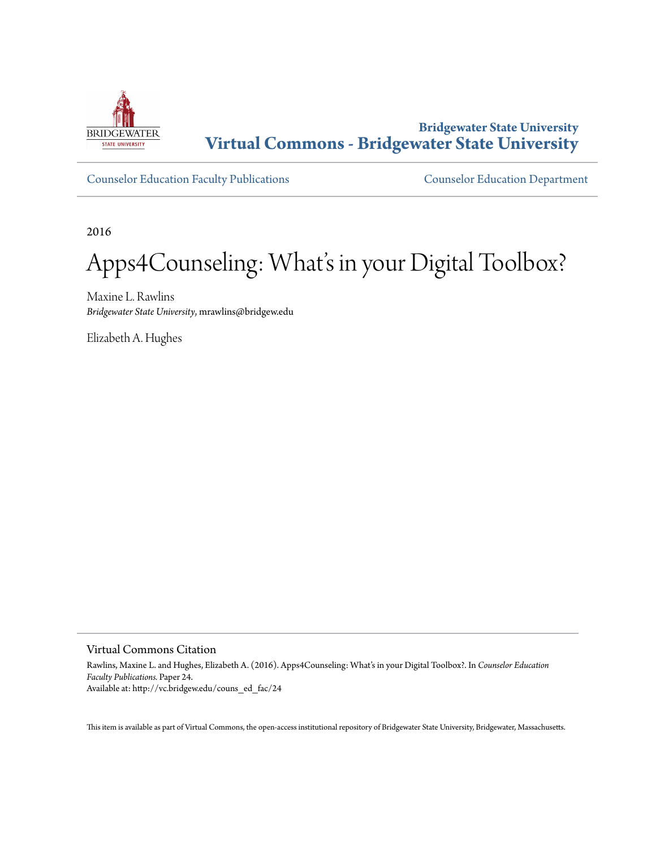

#### **Bridgewater State University [Virtual Commons - Bridgewater State University](http://vc.bridgew.edu)**

[Counselor Education Faculty Publications](http://vc.bridgew.edu/couns_ed_fac) [Counselor Education Department](http://vc.bridgew.edu/couns_ed)

2016

### Apps4Counseling: What's in your Digital Toolbox?

Maxine L. Rawlins *Bridgewater State University*, mrawlins@bridgew.edu

Elizabeth A. Hughes

Virtual Commons Citation

Rawlins, Maxine L. and Hughes, Elizabeth A. (2016). Apps4Counseling: What's in your Digital Toolbox?. In *Counselor Education Faculty Publications.* Paper 24. Available at: http://vc.bridgew.edu/couns\_ed\_fac/24

This item is available as part of Virtual Commons, the open-access institutional repository of Bridgewater State University, Bridgewater, Massachusetts.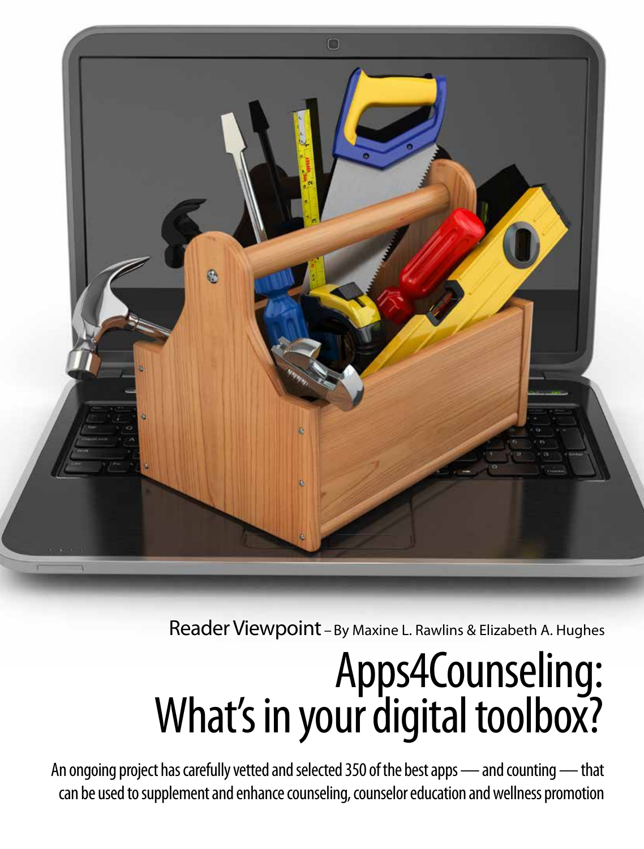

Reader Viewpoint – By Maxine L. Rawlins & Elizabeth A. Hughes

# Apps4Counseling: What's in your digital toolbox?

An ongoing project has carefully vetted and selected 350 of the best apps — and counting — that can be used to supplement and enhance counseling, counselor education and wellness promotion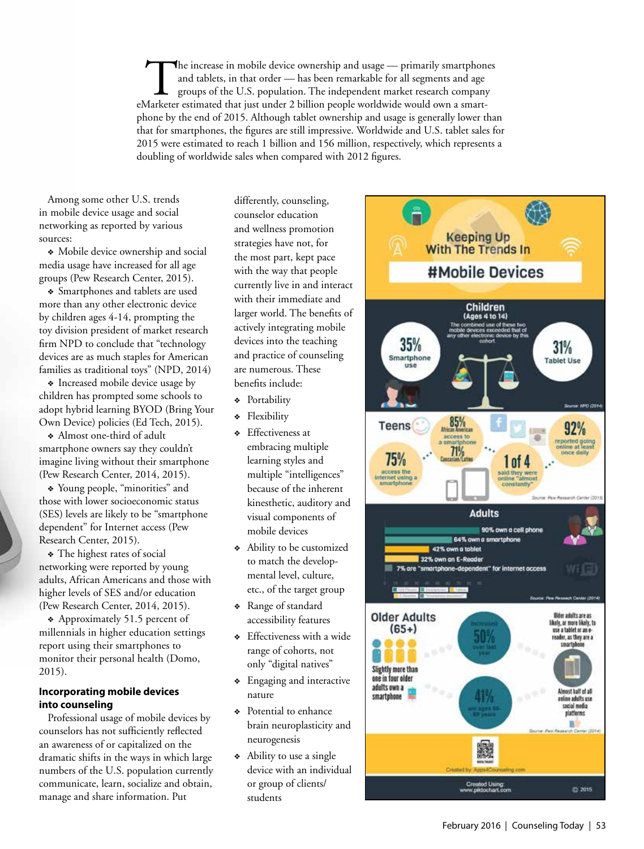The increase in mobile device ownership and usage — primarily smartphones<br>and tablets, in that order — has been remarkable for all segments and age<br>groups of the U.S. population. The independent market research company<br>dar and tablets, in that order — has been remarkable for all segments and age groups of the U.S. population. The independent market research company eMarketer estimated that just under 2 billion people worldwide would own a smartphone by the end of 2015. Although tablet ownership and usage is generally lower than that for smartphones, the figures are still impressive. Worldwide and U.S. tablet sales for 2015 were estimated to reach 1 billion and 156 million, respectively, which represents a doubling of worldwide sales when compared with 2012 figures.

Among some other U.S. trends in mobile device usage and social networking as reported by various sources:

• Mobile device ownership and social media usage have increased for all age groups (Pew Research Center, 2015).

• Smartphones and tablets are used more than any other electronic device by children ages 4-14, prompting the toy division president of market research firm NPD to conclude that "technology devices are as much staples for American families as traditional toys" (NPD, 2014)

• Increased mobile device usage by children has prompted some schools to adopt hybrid learning BYOD (Bring Your Own Device) policies (Ed Tech, 2015).

<sup>v</sup>Almost one-third of adult smartphone owners say they couldn't imagine living without their smartphone (Pew Research Center, 2014, 2015).

• Young people, "minorities" and those with lower socioeconomic status (SES) levels are likely to be "smartphone dependent" for Internet access (Pew Research Center, 2015).

\* The highest rates of social networking were reported by young adults, African Americans and those with higher levels of SES and/or education (Pew Research Center, 2014, 2015).

\* Approximately 51.5 percent of millennials in higher education settings report using their smartphones to monitor their personal health (Domo, 2015).

#### **Incorporating mobile devices into counseling**

Professional usage of mobile devices by counselors has not sufficiently reflected an awareness of or capitalized on the dramatic shifts in the ways in which large numbers of the U.S. population currently communicate, learn, socialize and obtain, manage and share information. Put

differently, counseling, counselor education and wellness promotion strategies have not, for the most part, kept pace with the way that people currently live in and interact with their immediate and larger world. The benefits of actively integrating mobile devices into the teaching and practice of counseling are numerous. These benefits include:

<sup>v</sup> Portability

- <sup>v</sup> Flexibility
- <sup>v</sup> Effectiveness at embracing multiple learning styles and multiple "intelligences" because of the inherent kinesthetic, auditory and visual components of mobile devices
- Ability to be customized to match the developmental level, culture, etc., of the target group
- <sup>v</sup> Range of standard accessibility features
- <sup>v</sup> Effectiveness with a wide range of cohorts, not only "digital natives"
- \* Engaging and interactive nature
- Potential to enhance brain neuroplasticity and neurogenesis
- Ability to use a single device with an individual or group of clients/ students

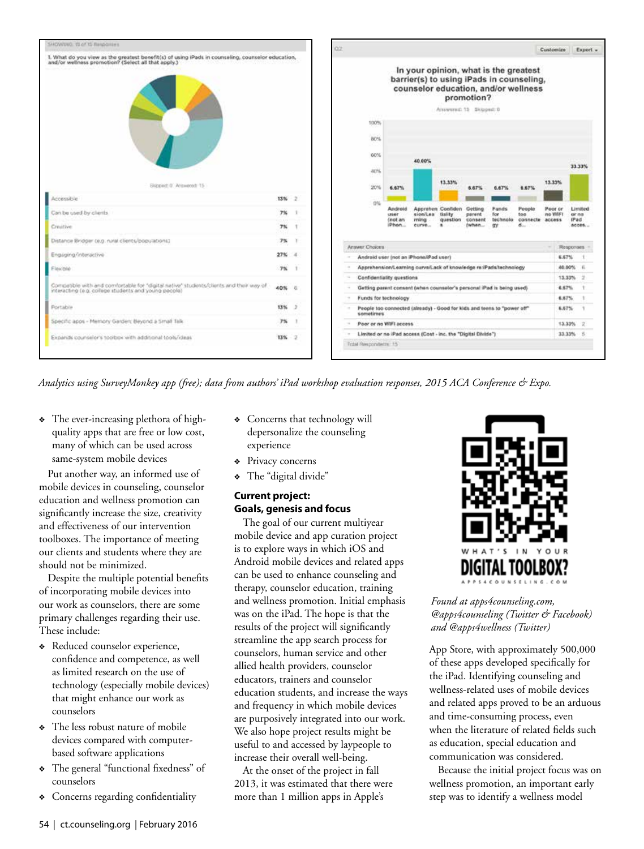



*Analytics using SurveyMonkey app (free); data from authors' iPad workshop evaluation responses, 2015 ACA Conference & Expo.*

• The ever-increasing plethora of highquality apps that are free or low cost, many of which can be used across same-system mobile devices

Put another way, an informed use of mobile devices in counseling, counselor education and wellness promotion can significantly increase the size, creativity and effectiveness of our intervention toolboxes. The importance of meeting our clients and students where they are should not be minimized.

Despite the multiple potential benefits of incorporating mobile devices into our work as counselors, there are some primary challenges regarding their use. These include:

- <sup>v</sup> Reduced counselor experience, confidence and competence, as well as limited research on the use of technology (especially mobile devices) that might enhance our work as counselors
- The less robust nature of mobile devices compared with computerbased software applications
- <sup>v</sup> The general "functional fixedness" of counselors
- Concerns regarding confidentiality
- Concerns that technology will depersonalize the counseling experience
- Privacy concerns
- \* The "digital divide"

#### **Current project: Goals, genesis and focus**

The goal of our current multiyear mobile device and app curation project is to explore ways in which iOS and Android mobile devices and related apps can be used to enhance counseling and therapy, counselor education, training and wellness promotion. Initial emphasis was on the iPad. The hope is that the results of the project will significantly streamline the app search process for counselors, human service and other allied health providers, counselor educators, trainers and counselor education students, and increase the ways and frequency in which mobile devices are purposively integrated into our work. We also hope project results might be useful to and accessed by laypeople to increase their overall well-being.

At the onset of the project in fall 2013, it was estimated that there were more than 1 million apps in Apple's



*Found at apps4counseling.com, @apps4counseling (Twitter & Facebook) and @apps4wellness (Twitter)*

App Store, with approximately 500,000 of these apps developed specifically for the iPad. Identifying counseling and wellness-related uses of mobile devices and related apps proved to be an arduous and time-consuming process, even when the literature of related fields such as education, special education and communication was considered.

Because the initial project focus was on wellness promotion, an important early step was to identify a wellness model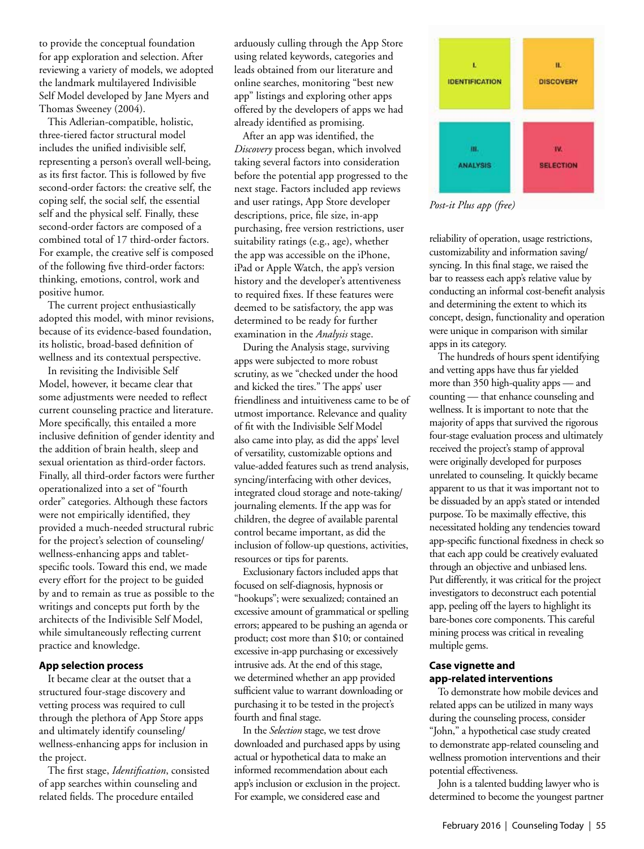to provide the conceptual foundation for app exploration and selection. After reviewing a variety of models, we adopted the landmark multilayered Indivisible Self Model developed by Jane Myers and Thomas Sweeney (2004).

This Adlerian-compatible, holistic, three-tiered factor structural model includes the unified indivisible self, representing a person's overall well-being, as its first factor. This is followed by five second-order factors: the creative self, the coping self, the social self, the essential self and the physical self. Finally, these second-order factors are composed of a combined total of 17 third-order factors. For example, the creative self is composed of the following five third-order factors: thinking, emotions, control, work and positive humor.

The current project enthusiastically adopted this model, with minor revisions, because of its evidence-based foundation, its holistic, broad-based definition of wellness and its contextual perspective.

In revisiting the Indivisible Self Model, however, it became clear that some adjustments were needed to reflect current counseling practice and literature. More specifically, this entailed a more inclusive definition of gender identity and the addition of brain health, sleep and sexual orientation as third-order factors. Finally, all third-order factors were further operationalized into a set of "fourth order" categories. Although these factors were not empirically identified, they provided a much-needed structural rubric for the project's selection of counseling/ wellness-enhancing apps and tabletspecific tools. Toward this end, we made every effort for the project to be guided by and to remain as true as possible to the writings and concepts put forth by the architects of the Indivisible Self Model, while simultaneously reflecting current practice and knowledge.

#### **App selection process**

It became clear at the outset that a structured four-stage discovery and vetting process was required to cull through the plethora of App Store apps and ultimately identify counseling/ wellness-enhancing apps for inclusion in the project.

The first stage, *Identification*, consisted of app searches within counseling and related fields. The procedure entailed

arduously culling through the App Store using related keywords, categories and leads obtained from our literature and online searches, monitoring "best new app" listings and exploring other apps offered by the developers of apps we had already identified as promising.

After an app was identified, the *Discovery* process began, which involved taking several factors into consideration before the potential app progressed to the next stage. Factors included app reviews and user ratings, App Store developer descriptions, price, file size, in-app purchasing, free version restrictions, user suitability ratings (e.g., age), whether the app was accessible on the iPhone, iPad or Apple Watch, the app's version history and the developer's attentiveness to required fixes. If these features were deemed to be satisfactory, the app was determined to be ready for further examination in the *Analysis* stage.

During the Analysis stage, surviving apps were subjected to more robust scrutiny, as we "checked under the hood and kicked the tires." The apps' user friendliness and intuitiveness came to be of utmost importance. Relevance and quality of fit with the Indivisible Self Model also came into play, as did the apps' level of versatility, customizable options and value-added features such as trend analysis, syncing/interfacing with other devices, integrated cloud storage and note-taking/ journaling elements. If the app was for children, the degree of available parental control became important, as did the inclusion of follow-up questions, activities, resources or tips for parents.

Exclusionary factors included apps that focused on self-diagnosis, hypnosis or "hookups"; were sexualized; contained an excessive amount of grammatical or spelling errors; appeared to be pushing an agenda or product; cost more than \$10; or contained excessive in-app purchasing or excessively intrusive ads. At the end of this stage, we determined whether an app provided sufficient value to warrant downloading or purchasing it to be tested in the project's fourth and final stage.

In the *Selection* stage, we test drove downloaded and purchased apps by using actual or hypothetical data to make an informed recommendation about each app's inclusion or exclusion in the project. For example, we considered ease and



*Post-it Plus app (free)*

reliability of operation, usage restrictions, customizability and information saving/ syncing. In this final stage, we raised the bar to reassess each app's relative value by conducting an informal cost-benefit analysis and determining the extent to which its concept, design, functionality and operation were unique in comparison with similar apps in its category.

The hundreds of hours spent identifying and vetting apps have thus far yielded more than 350 high-quality apps — and counting — that enhance counseling and wellness. It is important to note that the majority of apps that survived the rigorous four-stage evaluation process and ultimately received the project's stamp of approval were originally developed for purposes unrelated to counseling. It quickly became apparent to us that it was important not to be dissuaded by an app's stated or intended purpose. To be maximally effective, this necessitated holding any tendencies toward app-specific functional fixedness in check so that each app could be creatively evaluated through an objective and unbiased lens. Put differently, it was critical for the project investigators to deconstruct each potential app, peeling off the layers to highlight its bare-bones core components. This careful mining process was critical in revealing multiple gems.

#### **Case vignette and app-related interventions**

To demonstrate how mobile devices and related apps can be utilized in many ways during the counseling process, consider "John," a hypothetical case study created to demonstrate app-related counseling and wellness promotion interventions and their potential effectiveness.

John is a talented budding lawyer who is determined to become the youngest partner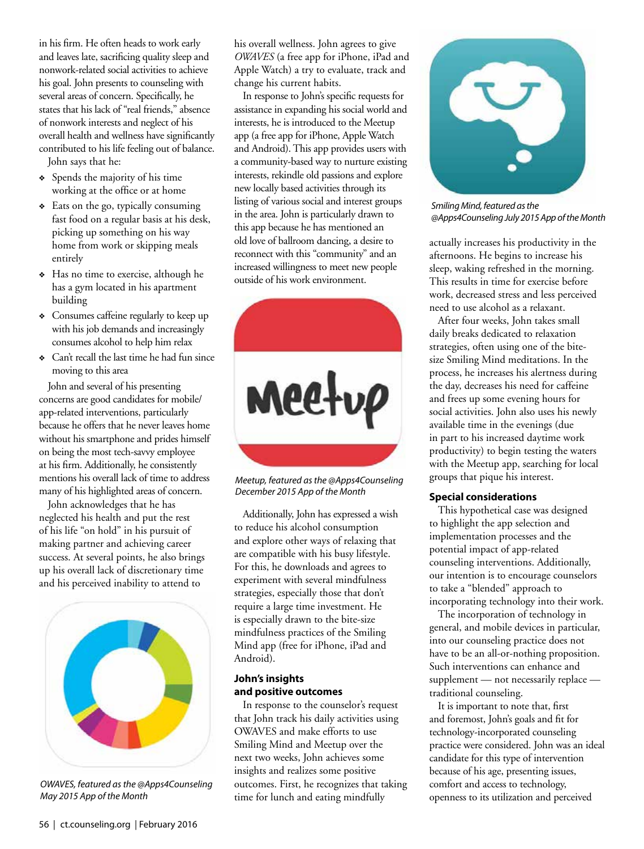in his firm. He often heads to work early and leaves late, sacrificing quality sleep and nonwork-related social activities to achieve his goal. John presents to counseling with several areas of concern. Specifically, he states that his lack of "real friends," absence of nonwork interests and neglect of his overall health and wellness have significantly contributed to his life feeling out of balance. John says that he:

- <sup>v</sup> Spends the majority of his time working at the office or at home
- $\triangleleft$  Eats on the go, typically consuming fast food on a regular basis at his desk, picking up something on his way home from work or skipping meals entirely
- <sup>v</sup> Has no time to exercise, although he has a gym located in his apartment building
- Consumes caffeine regularly to keep up with his job demands and increasingly consumes alcohol to help him relax
- <sup>v</sup> Can't recall the last time he had fun since moving to this area

John and several of his presenting concerns are good candidates for mobile/ app-related interventions, particularly because he offers that he never leaves home without his smartphone and prides himself on being the most tech-savvy employee at his firm. Additionally, he consistently mentions his overall lack of time to address many of his highlighted areas of concern.

John acknowledges that he has neglected his health and put the rest of his life "on hold" in his pursuit of making partner and achieving career success. At several points, he also brings up his overall lack of discretionary time and his perceived inability to attend to



*OWAVES, featured as the @Apps4Counseling May 2015 App of the Month*

his overall wellness. John agrees to give *OWAVES* (a free app for iPhone, iPad and Apple Watch) a try to evaluate, track and change his current habits.

In response to John's specific requests for assistance in expanding his social world and interests, he is introduced to the Meetup app (a free app for iPhone, Apple Watch and Android). This app provides users with a community-based way to nurture existing interests, rekindle old passions and explore new locally based activities through its listing of various social and interest groups in the area. John is particularly drawn to this app because he has mentioned an old love of ballroom dancing, a desire to reconnect with this "community" and an increased willingness to meet new people outside of his work environment.



*Meetup, featured as the @Apps4Counseling December 2015 App of the Month*

Additionally, John has expressed a wish to reduce his alcohol consumption and explore other ways of relaxing that are compatible with his busy lifestyle. For this, he downloads and agrees to experiment with several mindfulness strategies, especially those that don't require a large time investment. He is especially drawn to the bite-size mindfulness practices of the Smiling Mind app (free for iPhone, iPad and Android).

#### **John's insights and positive outcomes**

In response to the counselor's request that John track his daily activities using OWAVES and make efforts to use Smiling Mind and Meetup over the next two weeks, John achieves some insights and realizes some positive outcomes. First, he recognizes that taking time for lunch and eating mindfully



*Smiling Mind, featured as the @Apps4Counseling July 2015 App of the Month*

actually increases his productivity in the afternoons. He begins to increase his sleep, waking refreshed in the morning. This results in time for exercise before work, decreased stress and less perceived need to use alcohol as a relaxant.

After four weeks, John takes small daily breaks dedicated to relaxation strategies, often using one of the bitesize Smiling Mind meditations. In the process, he increases his alertness during the day, decreases his need for caffeine and frees up some evening hours for social activities. John also uses his newly available time in the evenings (due in part to his increased daytime work productivity) to begin testing the waters with the Meetup app, searching for local groups that pique his interest.

#### **Special considerations**

This hypothetical case was designed to highlight the app selection and implementation processes and the potential impact of app-related counseling interventions. Additionally, our intention is to encourage counselors to take a "blended" approach to incorporating technology into their work.

The incorporation of technology in general, and mobile devices in particular, into our counseling practice does not have to be an all-or-nothing proposition. Such interventions can enhance and supplement — not necessarily replace traditional counseling.

It is important to note that, first and foremost, John's goals and fit for technology-incorporated counseling practice were considered. John was an ideal candidate for this type of intervention because of his age, presenting issues, comfort and access to technology, openness to its utilization and perceived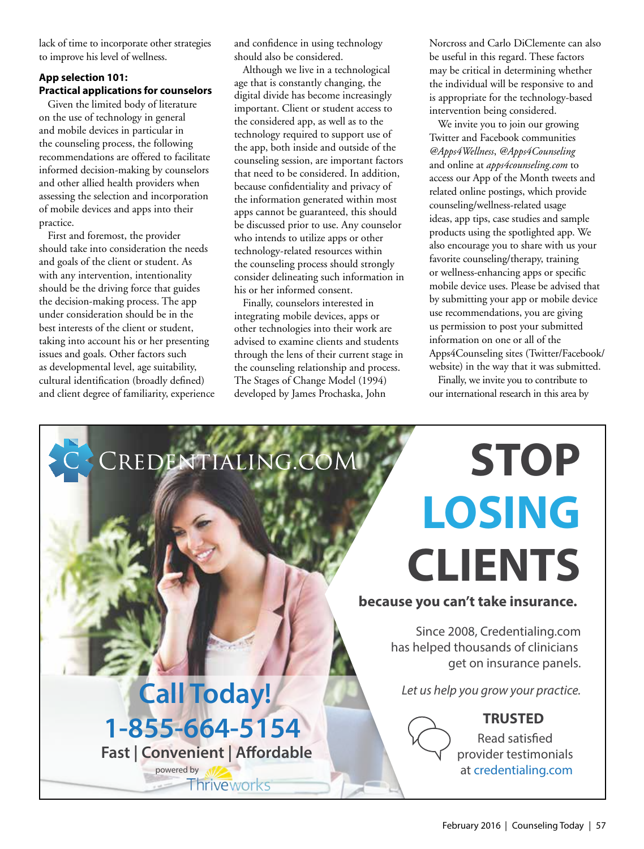lack of time to incorporate other strategies to improve his level of wellness.

#### **App selection 101: Practical applications for counselors**

Given the limited body of literature on the use of technology in general and mobile devices in particular in the counseling process, the following recommendations are offered to facilitate informed decision-making by counselors and other allied health providers when assessing the selection and incorporation of mobile devices and apps into their practice.

First and foremost, the provider should take into consideration the needs and goals of the client or student. As with any intervention, intentionality should be the driving force that guides the decision-making process. The app under consideration should be in the best interests of the client or student, taking into account his or her presenting issues and goals. Other factors such as developmental level, age suitability, cultural identification (broadly defined) and client degree of familiarity, experience and confidence in using technology should also be considered.

Although we live in a technological age that is constantly changing, the digital divide has become increasingly important. Client or student access to the considered app, as well as to the technology required to support use of the app, both inside and outside of the counseling session, are important factors that need to be considered. In addition, because confidentiality and privacy of the information generated within most apps cannot be guaranteed, this should be discussed prior to use. Any counselor who intends to utilize apps or other technology-related resources within the counseling process should strongly consider delineating such information in his or her informed consent.

Finally, counselors interested in integrating mobile devices, apps or other technologies into their work are advised to examine clients and students through the lens of their current stage in the counseling relationship and process. The Stages of Change Model (1994) developed by James Prochaska, John

Norcross and Carlo DiClemente can also be useful in this regard. These factors may be critical in determining whether the individual will be responsive to and is appropriate for the technology-based intervention being considered.

We invite you to join our growing Twitter and Facebook communities *@Apps4Wellness*, *@Apps4Counseling* and online at *apps4counseling.com* to access our App of the Month tweets and related online postings, which provide counseling/wellness-related usage ideas, app tips, case studies and sample products using the spotlighted app. We also encourage you to share with us your favorite counseling/therapy, training or wellness-enhancing apps or specific mobile device uses. Please be advised that by submitting your app or mobile device use recommendations, you are giving us permission to post your submitted information on one or all of the Apps4Counseling sites (Twitter/Facebook/ website) in the way that it was submitted.

Finally, we invite you to contribute to our international research in this area by

**STOP**

# **LOSING CLIENTS**

#### **because you can't take insurance.**

Since 2008, Credentialing.com has helped thousands of clinicians get on insurance panels.

#### **TRUSTED**

Read satisfied provider testimonials at credentialing.com

### *Let us help you grow your practice.* **Call Today!**

CREDENTIALING.COM

**1-855-664-5154 Fast | Convenient | Affordable** 

**Thriveworks** 

powered by